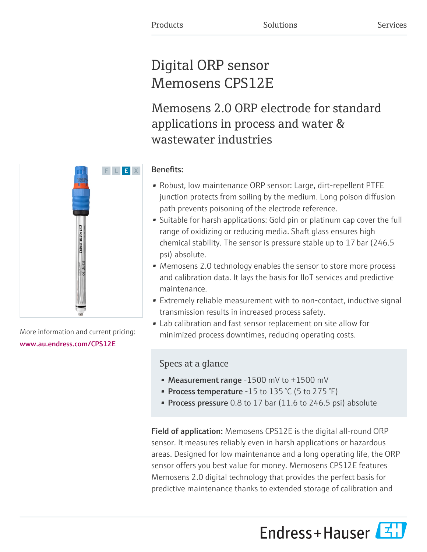# Digital ORP sensor Memosens CPS12E

Memosens 2.0 ORP electrode for standard applications in process and water & wastewater industries

### Benefits:

- Robust, low maintenance ORP sensor: Large, dirt-repellent PTFE junction protects from soiling by the medium. Long poison diffusion path prevents poisoning of the electrode reference.
- Suitable for harsh applications: Gold pin or platinum cap cover the full range of oxidizing or reducing media. Shaft glass ensures high chemical stability. The sensor is pressure stable up to 17 bar (246.5  psi) absolute.
- Memosens 2.0 technology enables the sensor to store more process and calibration data. It lays the basis for IIoT services and predictive maintenance.
- Extremely reliable measurement with to non-contact, inductive signal transmission results in increased process safety.
- Lab calibration and fast sensor replacement on site allow for minimized process downtimes, reducing operating costs.

## Specs at a glance

- Measurement range -1500 mV to +1500 mV
- Process temperature -15 to 135  $°C$  (5 to 275  $°F$ )
- Process pressure  $0.8$  to 17 bar (11.6 to 246.5 psi) absolute

Field of application: Memosens CPS12E is the digital all-round ORP sensor. It measures reliably even in harsh applications or hazardous areas. Designed for low maintenance and a long operating life, the ORP sensor offers you best value for money. Memosens CPS12E features Memosens 2.0 digital technology that provides the perfect basis for predictive maintenance thanks to extended storage of calibration and

Endress+Hauser



More information and current pricing: [www.au.endress.com/CPS12E](https://www.au.endress.com/CPS12E)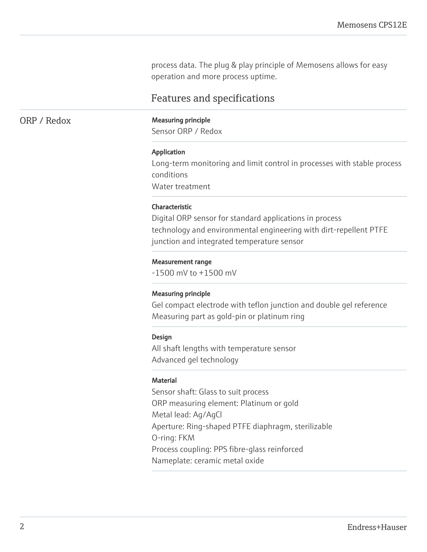process data. The plug & play principle of Memosens allows for easy operation and more process uptime.

### Features and specifications

#### ORP / Redox Measuring principle

Sensor ORP / Redox

#### Application

Long-term monitoring and limit control in processes with stable process conditions Water treatment

#### Characteristic

Digital ORP sensor for standard applications in process technology and environmental engineering with dirt-repellent PTFE junction and integrated temperature sensor

#### Measurement range

-1500 mV to +1500 mV

#### Measuring principle

Gel compact electrode with teflon junction and double gel reference Measuring part as gold-pin or platinum ring

#### Design

All shaft lengths with temperature sensor Advanced gel technology

#### Material

Sensor shaft: Glass to suit process ORP measuring element: Platinum or gold Metal lead: Ag/AgCl Aperture: Ring-shaped PTFE diaphragm, sterilizable O-ring: FKM Process coupling: PPS fibre-glass reinforced Nameplate: ceramic metal oxide